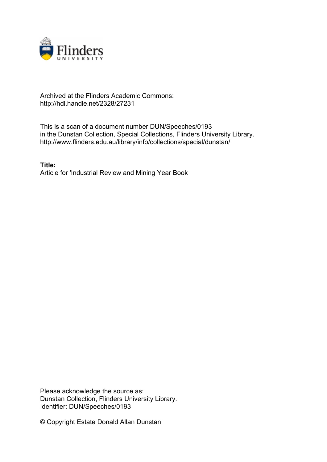

## Archived at the Flinders Academic Commons: http://hdl.handle.net/2328/27231

This is a scan of a document number DUN/Speeches/0193 in the Dunstan Collection, Special Collections, Flinders University Library. http://www.flinders.edu.au/library/info/collections/special/dunstan/

**Title:** Article for 'Industrial Review and Mining Year Book

Please acknowledge the source as: Dunstan Collection, Flinders University Library. Identifier: DUN/Speeches/0193

© Copyright Estate Donald Allan Dunstan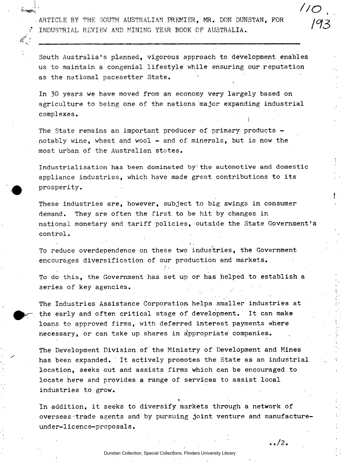ARTICLE BY THE SOUTH AUSTRALIAN PREMIER, MR. DON DUNSTAN, FOR INDUSTRIAL REVIEW AND MINING YEAR BOOK OF AUSTRALIA.

South Australia's planned, vigorous approach to development enables us to maintain a congenial lifestyle while ensuring our reputation as the national pacesetter State.

In 30 years we have moved from an economy very largely based on agriculture to being one of the nations major expanding industrial complexes.

The State remains an important producer of primary products notably wine, wheat and wool - and of minerals, but is now the most urban of the Australian states.

Industrialisation has been dominated by the automotive and domestic appliance industries, which have made great contributions to its prosperity.

These industries are, however, subject to big swings in consumer demand. They are often the first to be hit by changes in national monetary and tariff policies, outside the State Government' control.

To reduce overdependence on these two industries, the Government encourages diversification of our production and markets.

' ' in the second control of the second control of the second control of the second control of the second control of the second control of the second control of the second control of the second control of the second contro

To do this, the Government has set up or has helped to establish a series of key agencies.

The Industries Assistance Corporation helps smaller industries at the early and often critical stage of development. It can make loans to approved firms, with deferred interest payments where necessary, or can take up shares in appropriate companies.

The Development Division of the Ministry of Development and Mines has been expanded. It actively promotes the State as an industrial location, seeks out and assists firms which can be encouraged to locate here and provides a range of services to assist local industries to grow.

In addition, it seeks to diversify markets through a network of overseas trade agents and by pursuing joint venture and manufactureunder-licence-proposals.

 $\ldots/2$ .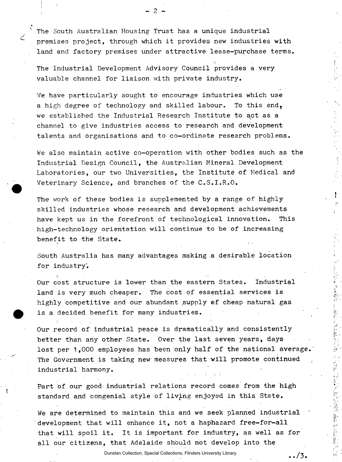The South Australian Housing Trust has a unique industrial premises project, through which it provides new industries with land and factory premises under attractive lease-purchase terms.

The Industrial Development Advisory Council provides a very valuable channel for liaison with private industry.

We have particularly sought to encourage industries which use a high degree of technology and skilled labour. To this end, we established the Industrial Research Institute to act as a channel to give industries access to research and development talents and organisations and to co-ordinate research problems.

We also maintain active co-operation with other bodies such as the Industrial Design Council, the Australian Mineral Development Laboratories, our two Universities, the Institute of Medical and Veterinary Science, and branches of the C.S.I.R.O.

The work of these bodies is supplemented by a range of highly skilled industries whose research and development achievements have kept us in the forefront of technological innovation. This high-technology orientation will continue to be of increasing benefit to the State.

South Australia has many advantages making a desirable location for industry'.

i •.' Our cost structure is lower than the eastern States. Industrial land is very much cheaper. The cost of essential services is highly competitive and our abundant supply of cheap natural gas is a decided benefit for many industries.

Our record of industrial peace is dramatically and consistently better than any other State. Over the last seven years, days lost per 1,000 employees has been only half of the national average. The Government is taking new measures that will promote continued industrial harmony.

Part of our good industrial relations record comes from the high standard and congenial style of living enjoyed in this State.

We are determined to maintain this and we seek planned industrial development that will enhance it, not a haphazard free-for-all that will spoil it. It is important for industry, as well as for all our citizens, that Adelaide should not develop into the

Dunstan Collection, Special Collections, Flinders University Library.

 $\ldots/3$ .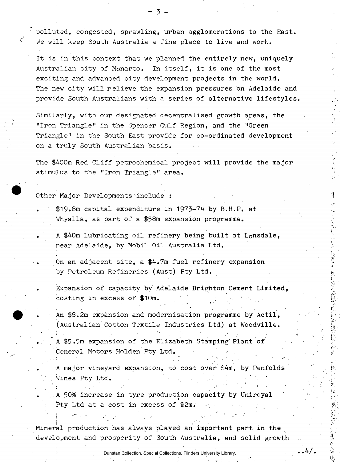polluted, congested, sprawling, urban agglomerations to the East. We will keep South Australia a fine place to live and work.

It is in this context that we planned the entirely new, uniquely Australian city of Monarto. In itself, it is one of the most exciting and advanced city development projects in the world. The new city will relieve the expansion pressures on Adelaide and provide South Australians with a series of alternative lifestyles

Similarly, with our designated decentralised growth areas, the "Iron Triangle" in the Spencer Gulf Region, and the "Green Triangle" in the South East provide for co-ordinated development on a truly South Australian basis.

The \$400m Red Cliff petrochemical project will provide the major stimulus to the "Iron Triangle" area.

Other Major Developments include :

- $$19.8m$$  capital expenditure in 1973-74 by B.H.P. at Whyalla, as part of a \$58m expansion programme.
- . A \$40m lubricating oil refinery being built at Lonsdale, near Adelaide, by Mobil Oil Australia Ltd.
	- On an adjacent site, a  $$4.7m$  fuel refinery expansion by Petroleum Refineries (Aust) Pty Ltd.
- Expansion of capacity by Adelaide Brighton Cement Limited, costing in excess of \$10m.
	- An \$8.2m expansion and modernisation programme by Actil, •(Australian Cotton Textile Industries Ltd) at Woodville.

« '

 $\ldots 4/$  .

- A \$5.5m expansion of the Elizabeth Stamping Plant of 'General Motors Holden Pty Ltd.
- A major vineyard expansion, to cost over \$4m, by Penfolds , Wines Pty Ltd.

. A 50% increase in tyre production capacity by Uniroyal Pty Ltd at a cost in excess of \$2m.

Mineral production has always played an important part in the development and prosperity of South Australia, and solid growth

Dunstan Collection, Special Collections, Flinders University Library.

- 3 -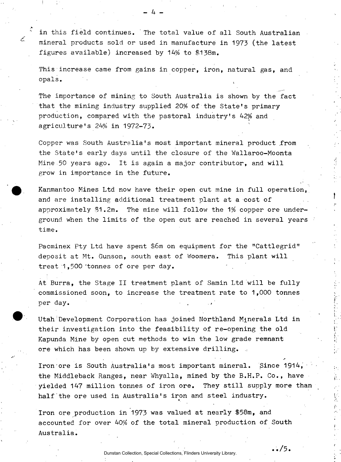in this field continues. The total value of all South Australian mineral products sold or used in manufacture in 1973 (the latest figures available) increased by 14% to \$138m.

This increase came from gains in copper, iron, natural gas, and opals.

The importance of mining to South Australia is shown by the fact that the mining industry supplied 20% of the State's primary production, compared with the pastoral industry's 42% and agriculture's 24% in 1972-73.

Copper was South Australia's most important mineral product from the State's early days until the closure of the Wallaroo-Moonta Mine 50 years ago. It is again a major contributor, and will grow in importance in the future.

Kanmantoo Mines Ltd now have their open cut mine in full operation, and are installing additional treatment plant at a cost of approximately \$1.2m. The mine will follow the 1% copper ore underground when the limits of the open cut are reached in several years time.

Pacminex Pty Ltd have spent \$6m on equipment for the "Cattlegrid" deposit at Mt. Gunson, south east of Woomera. This plant will treat  $1,500$  'tonnes of ore per day.

At Burra, the Stage II treatment plant of Samin Ltd will be fully commissioned soon, to increase the treatment rate to 1,000 tonnes per day.

Utah Development Corporation has joined Northland Minerals Ltd in their investigation into the feasibility of re-opening the old Kapunda Mine by open cut methods to win the low grade remnant ore which has been shown up by extensive drilling. .

Iron ore is South Australia's most important mineral. Since 1914, the Middleback Ranges, near Whyalla, mined by the B.H.P. Co., have yielded 147 million tonnes of iron ore. They still supply more than half the ore used in Australia's iron and steel industry.

*a* 

 $\boldsymbol{\ldots}$  /5 .

Iron ore production in 1973 was valued at nearly \$58m, and accounted for over 40% of the total mineral production of South Australia.

- 4 -

≤

Dunstan Collection, Special Collections, Flinders University Library.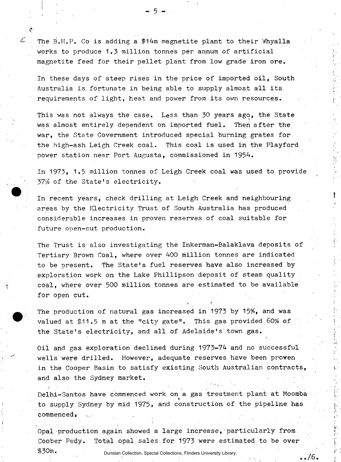The B.H.P. Co is adding a \$14m magnetite plant to their Whyalla works to produce 1.3 million tonnes per annum of artificial magnetite feed for their pellet plant from low grade iron ore.

 $-5-$ 

In these days of steep rises in the price of imported oil, South Australia is fortunate in being able to supply almost all its requirements of light, heat and power from its own resources.

This was not always the case. Less than 30 years ago, the State was almost entirely dependent on imported fuel. Then after the war, the State Government introduced special burning grates for the high-ash Leigh Creek coal. This coal is used in the Playford power station near Port Augusta, commissioned in 1954.

In 1973, 1.5 million tonnes of Leigh Creek coal was used to provide 37% of the State's electricity.

In recent years, check drilling at Leigh Creek and neighbouring areas by the Electricity Trust of South Australia has produced considerable increases in proven reserves of coal suitable for future open-cut production.

The Trust is also investigating the Inkerman-Balaklava deposits of Tertiary Brown Coal, where over 400 million tonnes are indicated to be present. The State's fuel reserves have also increased by exploration work on the Lake Phillipson deposit of steam quality coal, where over 500 million tonnes are estimated to be available for open cut.

t *t* t *t* 

 $\ldots/6$  .

The production of natural gas increased in 1973 by 15%, and was valued at \$11.5 m at the "city gate". This gas provided 60% of the State's electricity, and all of Adelaide's'town gas.

Oil and gas exploration declined during 1973-74 and no successful wells were drilled. However, adequate reserves have been proven in the Cooper Basin to satisfy existing South Australian contracts, and also the Sydney market.

**Delhi-Santos have commenced work on a gas treatment plant at Moomba**  « to supply Sydney by mid 1975, and construction of the pipeline has commenced<sub>s</sub>

Opal production again showed a large increase, particularly from Coober Pedy. Total opal sales for 1973 were estimated to be over \$30m. Dunstan Collection, Special Collections, Flinders University Library.